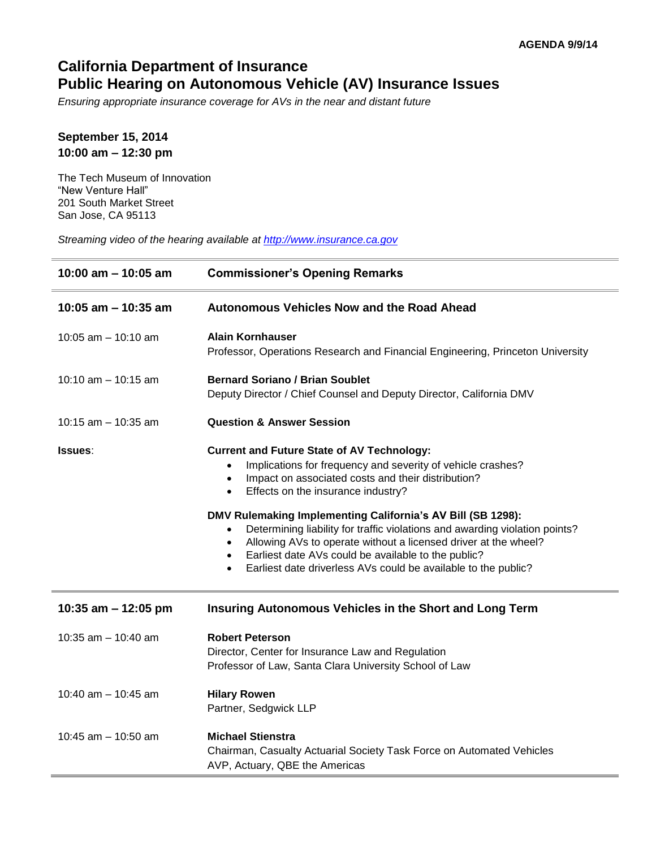## **California Department of Insurance** California Department of Insurance<br>Public Hearing on Autonomous Vehicle (AV) Insurance Issues

 *Ensuring appropriate insurance coverage for AVs in the near and distant future* 

## **September 15, 2014 10:00 am – 12:30 pm**

The Tech Museum of Innovation "New Venture Hall" 201 South Market Street San Jose, CA 95113

 *Streaming video of the hearing available at [http://www.insurance.ca.gov](http://www.insurance.ca.gov/)* 

| 10:00 am - 10:05 am   | <b>Commissioner's Opening Remarks</b>                                                                                                                                                                                                                                                                                                                                                                                                                                                                                                                                                         |
|-----------------------|-----------------------------------------------------------------------------------------------------------------------------------------------------------------------------------------------------------------------------------------------------------------------------------------------------------------------------------------------------------------------------------------------------------------------------------------------------------------------------------------------------------------------------------------------------------------------------------------------|
| 10:05 am $-$ 10:35 am | <b>Autonomous Vehicles Now and the Road Ahead</b>                                                                                                                                                                                                                                                                                                                                                                                                                                                                                                                                             |
| 10:05 am $-$ 10:10 am | <b>Alain Kornhauser</b><br>Professor, Operations Research and Financial Engineering, Princeton University                                                                                                                                                                                                                                                                                                                                                                                                                                                                                     |
| 10:10 $am - 10:15 am$ | <b>Bernard Soriano / Brian Soublet</b><br>Deputy Director / Chief Counsel and Deputy Director, California DMV                                                                                                                                                                                                                                                                                                                                                                                                                                                                                 |
| 10:15 am $-$ 10:35 am | <b>Question &amp; Answer Session</b>                                                                                                                                                                                                                                                                                                                                                                                                                                                                                                                                                          |
| <b>Issues:</b>        | <b>Current and Future State of AV Technology:</b><br>Implications for frequency and severity of vehicle crashes?<br>Impact on associated costs and their distribution?<br>$\bullet$<br>Effects on the insurance industry?<br>$\bullet$<br>DMV Rulemaking Implementing California's AV Bill (SB 1298):<br>Determining liability for traffic violations and awarding violation points?<br>Allowing AVs to operate without a licensed driver at the wheel?<br>Earliest date AVs could be available to the public?<br>Earliest date driverless AVs could be available to the public?<br>$\bullet$ |
| 10:35 am - 12:05 pm   | Insuring Autonomous Vehicles in the Short and Long Term                                                                                                                                                                                                                                                                                                                                                                                                                                                                                                                                       |
| 10:35 am $-$ 10:40 am | <b>Robert Peterson</b><br>Director, Center for Insurance Law and Regulation<br>Professor of Law, Santa Clara University School of Law                                                                                                                                                                                                                                                                                                                                                                                                                                                         |
| 10:40 am - 10:45 am   | <b>Hilary Rowen</b><br>Partner, Sedgwick LLP                                                                                                                                                                                                                                                                                                                                                                                                                                                                                                                                                  |
| 10:45 am $-$ 10:50 am | <b>Michael Stienstra</b><br>Chairman, Casualty Actuarial Society Task Force on Automated Vehicles<br>AVP, Actuary, QBE the Americas                                                                                                                                                                                                                                                                                                                                                                                                                                                           |